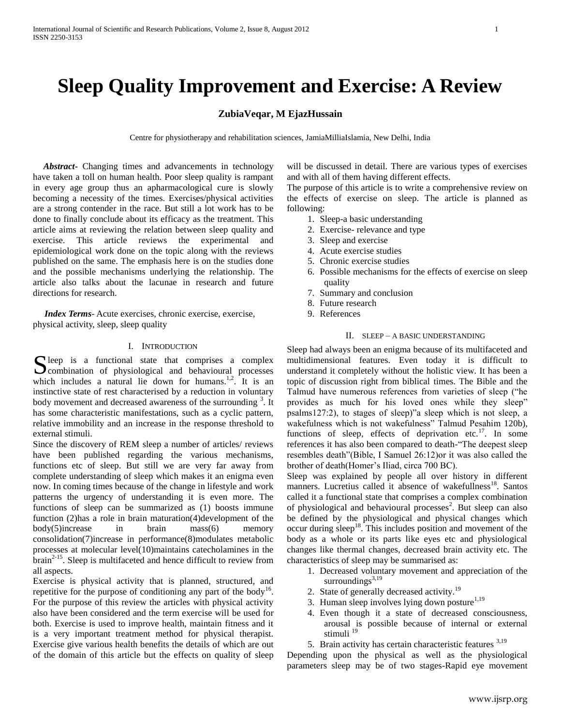# **Sleep Quality Improvement and Exercise: A Review**

# **ZubiaVeqar, M EjazHussain**

Centre for physiotherapy and rehabilitation sciences, JamiaMilliaIslamia, New Delhi, India

 *Abstract***-** Changing times and advancements in technology have taken a toll on human health. Poor sleep quality is rampant in every age group thus an apharmacological cure is slowly becoming a necessity of the times. Exercises/physical activities are a strong contender in the race. But still a lot work has to be done to finally conclude about its efficacy as the treatment. This article aims at reviewing the relation between sleep quality and exercise. This article reviews the experimental and epidemiological work done on the topic along with the reviews published on the same. The emphasis here is on the studies done and the possible mechanisms underlying the relationship. The article also talks about the lacunae in research and future directions for research.

 *Index Terms*- Acute exercises, chronic exercise, exercise, physical activity, sleep, sleep quality

#### I. INTRODUCTION

Seep is a functional state that comprises a complex combination of physiological and behavioural processes Combination of physiological and behavioural processes which includes a natural lie down for humans.<sup>1,2</sup>. It is an instinctive state of rest characterised by a reduction in voluntary body movement and decreased awareness of the surrounding  $3$ . It has some characteristic manifestations, such as a cyclic pattern, relative immobility and an increase in the response threshold to external stimuli.

Since the discovery of REM sleep a number of articles/ reviews have been published regarding the various mechanisms, functions etc of sleep. But still we are very far away from complete understanding of sleep which makes it an enigma even now. In coming times because of the change in lifestyle and work patterns the urgency of understanding it is even more. The functions of sleep can be summarized as (1) boosts immune function (2)has a role in brain maturation(4)development of the body(5)increase in brain mass(6) memory consolidation(7)increase in performance(8)modulates metabolic processes at molecular level(10)maintains catecholamines in the brain<sup>2-15</sup>. Sleep is multifaceted and hence difficult to review from all aspects.

Exercise is physical activity that is planned, structured, and repetitive for the purpose of conditioning any part of the body<sup>16</sup>. For the purpose of this review the articles with physical activity also have been considered and the term exercise will be used for both. Exercise is used to improve health, maintain fitness and it is a very important treatment method for physical therapist. Exercise give various health benefits the details of which are out of the domain of this article but the effects on quality of sleep

will be discussed in detail. There are various types of exercises and with all of them having different effects.

The purpose of this article is to write a comprehensive review on the effects of exercise on sleep. The article is planned as following:

- 1. Sleep-a basic understanding
- 2. Exercise- relevance and type
- 3. Sleep and exercise
- 4. Acute exercise studies
- 5. Chronic exercise studies
- 6. Possible mechanisms for the effects of exercise on sleep quality
- 7. Summary and conclusion
- 8. Future research
- 9. References

# II. SLEEP – A BASIC UNDERSTANDING

Sleep had always been an enigma because of its multifaceted and multidimensional features. Even today it is difficult to understand it completely without the holistic view. It has been a topic of discussion right from biblical times. The Bible and the Talmud have numerous references from varieties of sleep ("he provides as much for his loved ones while they sleep" psalms127:2), to stages of sleep)"a sleep which is not sleep, a wakefulness which is not wakefulness" Talmud Pesahim 120b), functions of sleep, effects of deprivation etc.<sup>17</sup>. In some references it has also been compared to death-"The deepest sleep resembles death"(Bible, I Samuel 26:12)or it was also called the brother of death(Homer's Iliad, circa 700 BC).

Sleep was explained by people all over history in different manners. Lucretius called it absence of wakefullness<sup>18</sup>. Santos called it a functional state that comprises a complex combination of physiological and behavioural processes<sup>2</sup>. But sleep can also be defined by the physiological and physical changes which occur during sleep<sup>18</sup>. This includes position and movement of the body as a whole or its parts like eyes etc and physiological changes like thermal changes, decreased brain activity etc. The characteristics of sleep may be summarised as:

- 1. Decreased voluntary movement and appreciation of the surroundings $^{3,19}$
- 2. State of generally decreased activity.<sup>19</sup>
- 3. Human sleep involves lying down posture $1,19$
- 4. Even though it a state of decreased consciousness, arousal is possible because of internal or external stimuli<sup>19</sup>
- 5. Brain activity has certain characteristic features  $3,19$

Depending upon the physical as well as the physiological parameters sleep may be of two stages-Rapid eye movement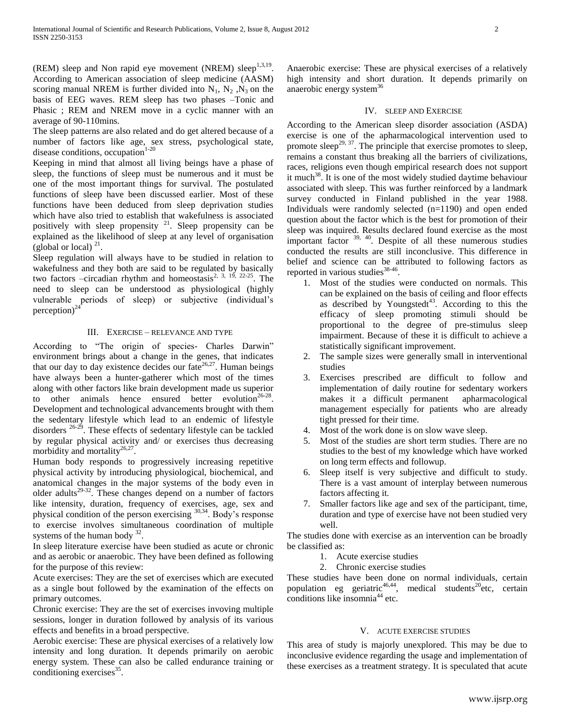(REM) sleep and Non rapid eye movement (NREM) sleep $^{1,3,19}$ . According to American association of sleep medicine (AASM) scoring manual NREM is further divided into  $N_1$ ,  $N_2$ ,  $N_3$  on the basis of EEG waves. REM sleep has two phases –Tonic and Phasic ; REM and NREM move in a cyclic manner with an average of 90-110mins.

The sleep patterns are also related and do get altered because of a number of factors like age, sex stress, psychological state, disease conditions, occupation $1-20$ 

Keeping in mind that almost all living beings have a phase of sleep, the functions of sleep must be numerous and it must be one of the most important things for survival. The postulated functions of sleep have been discussed earlier. Most of these functions have been deduced from sleep deprivation studies which have also tried to establish that wakefulness is associated positively with sleep propensity <sup>21</sup>. Sleep propensity can be explained as the likelihood of sleep at any level of organisation (global or local)  $^{21}$ .

Sleep regulation will always have to be studied in relation to wakefulness and they both are said to be regulated by basically two factors –circadian rhythm and homeostasis<sup>2, 3, 19, 22-25</sup>. The need to sleep can be understood as physiological (highly vulnerable periods of sleep) or subjective (individual's perception) $^{24}$ 

## III. EXERCISE – RELEVANCE AND TYPE

According to "The origin of species- Charles Darwin" environment brings about a change in the genes, that indicates that our day to day existence decides our fate<sup>26,27</sup>. Human beings have always been a hunter-gatherer which most of the times along with other factors like brain development made us superior to other animals hence ensured better evolution<sup>26-28</sup>. Development and technological advancements brought with them the sedentary lifestyle which lead to an endemic of lifestyle  $\frac{26-29}{26-29}$ . These effects of sedentary lifestyle can be tackled by regular physical activity and/ or exercises thus decreasing morbidity and mortality $^{26,27}$ .

Human body responds to progressively increasing repetitive physical activity by introducing physiological, biochemical, and anatomical changes in the major systems of the body even in older adults<sup>29-32</sup>. These changes depend on a number of factors like intensity, duration, frequency of exercises, age, sex and physical condition of the person exercising 30,34. Body's response to exercise involves simultaneous coordination of multiple systems of the human body  $32$ .

In sleep literature exercise have been studied as acute or chronic and as aerobic or anaerobic. They have been defined as following for the purpose of this review:

Acute exercises: They are the set of exercises which are executed as a single bout followed by the examination of the effects on primary outcomes.

Chronic exercise: They are the set of exercises invoving multiple sessions, longer in duration followed by analysis of its various effects and benefits in a broad perspective.

Aerobic exercise: These are physical exercises of a relatively low intensity and long duration. It depends primarily on aerobic energy system. These can also be called endurance training or conditioning exercises $35$ .

Anaerobic exercise: These are physical exercises of a relatively high intensity and short duration. It depends primarily on anaerobic energy system<sup>36</sup>

# IV. SLEEP AND EXERCISE

According to the American sleep disorder association (ASDA) exercise is one of the apharmacological intervention used to promote sleep<sup>29, 37</sup>. The principle that exercise promotes to sleep, remains a constant thus breaking all the barriers of civilizations, races, religions even though empirical research does not support it much<sup>38</sup>. It is one of the most widely studied daytime behaviour associated with sleep. This was further reinforced by a landmark survey conducted in Finland published in the year 1988. Individuals were randomly selected (n=1190) and open ended question about the factor which is the best for promotion of their sleep was inquired. Results declared found exercise as the most important factor  $39, 40$ . Despite of all these numerous studies conducted the results are still inconclusive. This difference in belief and science can be attributed to following factors as reported in various studies $38-46$ .

- 1. Most of the studies were conducted on normals. This can be explained on the basis of ceiling and floor effects as described by Youngstedt<sup>43</sup>. According to this the efficacy of sleep promoting stimuli should be proportional to the degree of pre-stimulus sleep impairment. Because of these it is difficult to achieve a statistically significant improvement.
- 2. The sample sizes were generally small in interventional studies
- 3. Exercises prescribed are difficult to follow and implementation of daily routine for sedentary workers makes it a difficult permanent apharmacological management especially for patients who are already tight pressed for their time.
- 4. Most of the work done is on slow wave sleep.
- 5. Most of the studies are short term studies. There are no studies to the best of my knowledge which have worked on long term effects and followup.
- 6. Sleep itself is very subjective and difficult to study. There is a vast amount of interplay between numerous factors affecting it.
- 7. Smaller factors like age and sex of the participant, time, duration and type of exercise have not been studied very well.

The studies done with exercise as an intervention can be broadly be classified as:

- 1. Acute exercise studies
- 2. Chronic exercise studies

These studies have been done on normal individuals, certain population eg geriatric $46,44$ , medical students<sup>20</sup>etc, certain  $\frac{1}{2}$ conditions like insomnia<sup>44</sup> etc.

# V. ACUTE EXERCISE STUDIES

This area of study is majorly unexplored. This may be due to inconclusive evidence regarding the usage and implementation of these exercises as a treatment strategy. It is speculated that acute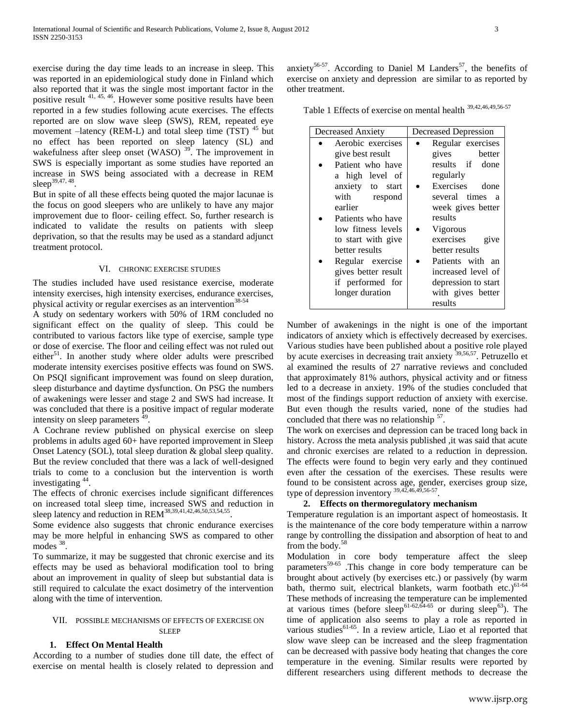exercise during the day time leads to an increase in sleep. This was reported in an epidemiological study done in Finland which also reported that it was the single most important factor in the positive result 41, 45, 46. However some positive results have been reported in a few studies following acute exercises. The effects reported are on slow wave sleep (SWS), REM, repeated eye movement  $-$ latency (REM-L) and total sleep time (TST)  $45$  but no effect has been reported on sleep latency (SL) and wakefulness after sleep onset (WASO)  $39^{\circ}$ . The improvement in SWS is especially important as some studies have reported an increase in SWS being associated with a decrease in REM sleep<sup>39,47, 48</sup>.

But in spite of all these effects being quoted the major lacunae is the focus on good sleepers who are unlikely to have any major improvement due to floor- ceiling effect. So, further research is indicated to validate the results on patients with sleep deprivation, so that the results may be used as a standard adjunct treatment protocol.

#### VI. CHRONIC EXERCISE STUDIES

The studies included have used resistance exercise, moderate intensity exercises, high intensity exercises, endurance exercises, physical activity or regular exercises as an intervention<sup>38-54</sup>

A study on sedentary workers with 50% of 1RM concluded no significant effect on the quality of sleep. This could be contributed to various factors like type of exercise, sample type or dose of exercise. The floor and ceiling effect was not ruled out either<sup>51</sup>. In another study where older adults were prescribed moderate intensity exercises positive effects was found on SWS. On PSQI significant improvement was found on sleep duration, sleep disturbance and daytime dysfunction. On PSG the numbers of awakenings were lesser and stage 2 and SWS had increase. It was concluded that there is a positive impact of regular moderate intensity on sleep parameters  $^{49}$ .

A Cochrane review published on physical exercise on sleep problems in adults aged 60+ have reported improvement in Sleep Onset Latency (SOL), total sleep duration & global sleep quality. But the review concluded that there was a lack of well-designed trials to come to a conclusion but the intervention is worth investigating <sup>44</sup> .

The effects of chronic exercises include significant differences on increased total sleep time, increased SWS and reduction in sleep latency and reduction in  $REM^{38,39,41,42,46,50,53,54,55}$ .

Some evidence also suggests that chronic endurance exercises may be more helpful in enhancing SWS as compared to other modes<sup>38</sup>.

To summarize, it may be suggested that chronic exercise and its effects may be used as behavioral modification tool to bring about an improvement in quality of sleep but substantial data is still required to calculate the exact dosimetry of the intervention along with the time of intervention.

### VII. POSSIBLE MECHANISMS OF EFFECTS OF EXERCISE ON SLEEP

### **1. Effect On Mental Health**

According to a number of studies done till date, the effect of exercise on mental health is closely related to depression and

anxiety<sup>56-57</sup>. According to Daniel M Landers<sup>57</sup>, the benefits of exercise on anxiety and depression are similar to as reported by other treatment.

Table 1 Effects of exercise on mental health 39,42,46,49,56-57

| Decreased Anxiety   | Decreased Depression |  |  |
|---------------------|----------------------|--|--|
| Aerobic exercises   | Regular exercises    |  |  |
| give best result    | gives<br>better      |  |  |
| Patient who have    | results if done      |  |  |
| a high level of     | regularly            |  |  |
| anxiety to start    | Exercises done       |  |  |
| with respond        | several times a      |  |  |
| earlier             | week gives better    |  |  |
| Patients who have   | results              |  |  |
| low fitness levels  | Vigorous             |  |  |
| to start with give  | exercises<br>give    |  |  |
| better results      | better results       |  |  |
| Regular exercise    | Patients with an     |  |  |
| gives better result | increased level of   |  |  |
| if performed for    | depression to start  |  |  |
| longer duration     | with gives better    |  |  |
|                     | results              |  |  |

Number of awakenings in the night is one of the important indicators of anxiety which is effectively decreased by exercises. Various studies have been published about a positive role played by acute exercises in decreasing trait anxiety <sup>39,56,57</sup>. Petruzello et al examined the results of 27 narrative reviews and concluded that approximately 81% authors, physical activity and or fitness led to a decrease in anxiety. 19% of the studies concluded that most of the findings support reduction of anxiety with exercise. But even though the results varied, none of the studies had concluded that there was no relationship <sup>57</sup>.

The work on exercises and depression can be traced long back in history. Across the meta analysis published ,it was said that acute and chronic exercises are related to a reduction in depression. The effects were found to begin very early and they continued even after the cessation of the exercises. These results were found to be consistent across age, gender, exercises group size, type of depression inventory  $39,42,46,49,56.57$ .

## **2. Effects on thermoregulatory mechanism**

Temperature regulation is an important aspect of homeostasis. It is the maintenance of the core body temperature within a narrow range by controlling the dissipation and absorption of heat to and from the body.<sup>58</sup>

Modulation in core body temperature affect the sleep parameters<sup>59-65</sup>. This change in core body temperature can be brought about actively (by exercises etc.) or passively (by warm bath, thermo suit, electrical blankets, warm footbath etc.) $61-64$ These methods of increasing the temperature can be implemented at various times (before sleep<sup>61-62,64-65</sup> or during sleep<sup>63</sup>). The time of application also seems to play a role as reported in various studies $61-65$ . In a review article, Liao et al reported that slow wave sleep can be increased and the sleep fragmentation can be decreased with passive body heating that changes the core temperature in the evening. Similar results were reported by different researchers using different methods to decrease the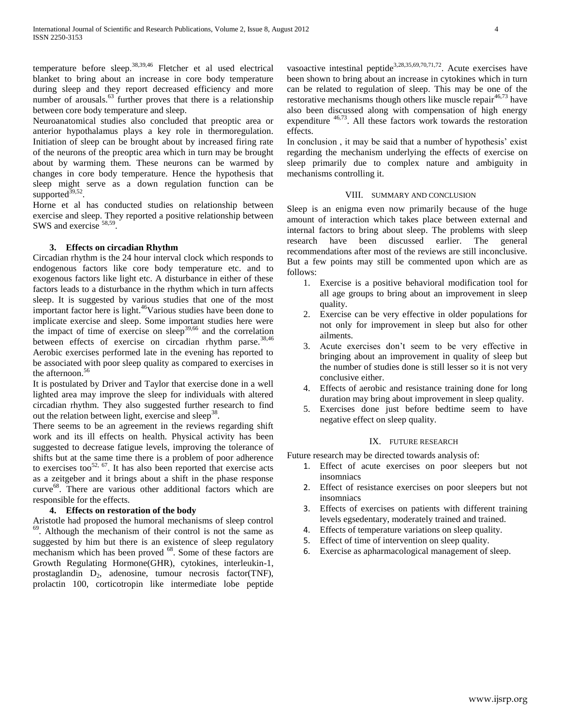temperature before sleep.<sup>38,39,46</sup> Fletcher et al used electrical blanket to bring about an increase in core body temperature during sleep and they report decreased efficiency and more number of arousals.<sup>63</sup> further proves that there is a relationship between core body temperature and sleep.

Neuroanatomical studies also concluded that preoptic area or anterior hypothalamus plays a key role in thermoregulation. Initiation of sleep can be brought about by increased firing rate of the neurons of the preoptic area which in turn may be brought about by warming them. These neurons can be warmed by changes in core body temperature. Hence the hypothesis that sleep might serve as a down regulation function can be supported $39,52$ .

Horne et al has conducted studies on relationship between exercise and sleep. They reported a positive relationship between SWS and exercise <sup>58,59</sup>.

# **3. Effects on circadian Rhythm**

Circadian rhythm is the 24 hour interval clock which responds to endogenous factors like core body temperature etc. and to exogenous factors like light etc. A disturbance in either of these factors leads to a disturbance in the rhythm which in turn affects sleep. It is suggested by various studies that one of the most important factor here is light.<sup>46</sup>Various studies have been done to implicate exercise and sleep. Some important studies here were the impact of time of exercise on sleep<sup>39,66</sup> and the correlation between effects of exercise on circadian rhythm parse.  $38,46$ Aerobic exercises performed late in the evening has reported to be associated with poor sleep quality as compared to exercises in the afternoon.<sup>56</sup>

It is postulated by Driver and Taylor that exercise done in a well lighted area may improve the sleep for individuals with altered circadian rhythm. They also suggested further research to find out the relation between light, exercise and sleep<sup>38</sup>.

There seems to be an agreement in the reviews regarding shift work and its ill effects on health. Physical activity has been suggested to decrease fatigue levels, improving the tolerance of shifts but at the same time there is a problem of poor adherence to exercises too<sup>52, 67</sup>. It has also been reported that exercise acts as a zeitgeber and it brings about a shift in the phase response curve<sup>68</sup>. There are various other additional factors which are responsible for the effects.

# **4. Effects on restoration of the body**

Aristotle had proposed the humoral mechanisms of sleep control <sup>69</sup>. Although the mechanism of their control is not the same as suggested by him but there is an existence of sleep regulatory mechanism which has been proved <sup>68</sup>. Some of these factors are Growth Regulating Hormone(GHR), cytokines, interleukin-1, prostaglandin D<sub>2</sub>, adenosine, tumour necrosis factor(TNF), prolactin 100, corticotropin like intermediate lobe peptide

vasoactive intestinal peptide<sup>3,28,35,69,70,71,72</sup>. Acute exercises have been shown to bring about an increase in cytokines which in turn can be related to regulation of sleep. This may be one of the restorative mechanisms though others like muscle repair $46,73$  have also been discussed along with compensation of high energy expenditure 46,73. All these factors work towards the restoration effects.

In conclusion , it may be said that a number of hypothesis' exist regarding the mechanism underlying the effects of exercise on sleep primarily due to complex nature and ambiguity in mechanisms controlling it.

#### VIII. SUMMARY AND CONCLUSION

Sleep is an enigma even now primarily because of the huge amount of interaction which takes place between external and internal factors to bring about sleep. The problems with sleep research have been discussed earlier. The general recommendations after most of the reviews are still inconclusive. But a few points may still be commented upon which are as follows:

- 1. Exercise is a positive behavioral modification tool for all age groups to bring about an improvement in sleep quality.
- 2. Exercise can be very effective in older populations for not only for improvement in sleep but also for other ailments.
- 3. Acute exercises don't seem to be very effective in bringing about an improvement in quality of sleep but the number of studies done is still lesser so it is not very conclusive either.
- 4. Effects of aerobic and resistance training done for long duration may bring about improvement in sleep quality.
- 5. Exercises done just before bedtime seem to have negative effect on sleep quality.

#### IX. FUTURE RESEARCH

Future research may be directed towards analysis of:

- 1. Effect of acute exercises on poor sleepers but not insomniacs
- 2. Effect of resistance exercises on poor sleepers but not insomniacs
- 3. Effects of exercises on patients with different training levels egsedentary, moderately trained and trained.
- 4. Effects of temperature variations on sleep quality.
- 5. Effect of time of intervention on sleep quality.
- 6. Exercise as apharmacological management of sleep.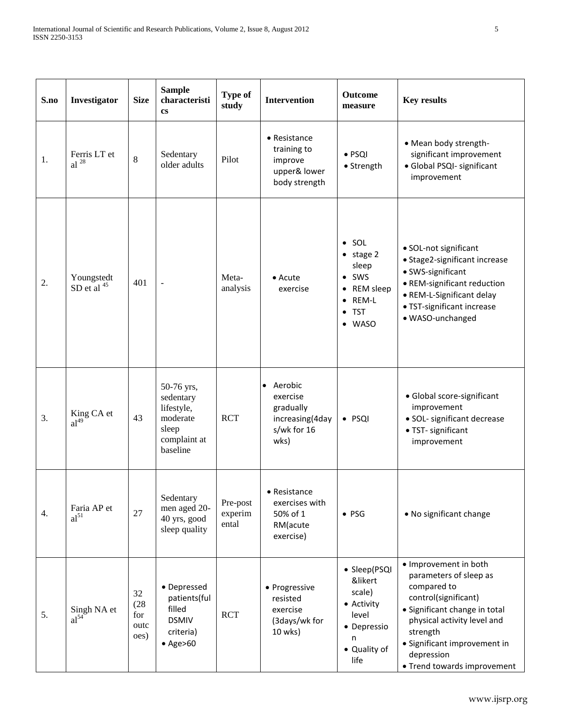| S.no | Investigator                   | <b>Size</b>                       | <b>Sample</b><br>characteristi<br><b>cs</b>                                            | <b>Type of</b><br>study      | <b>Intervention</b>                                                             | <b>Outcome</b><br>measure                                                                                                              | <b>Key results</b>                                                                                                                                                                                                                              |
|------|--------------------------------|-----------------------------------|----------------------------------------------------------------------------------------|------------------------------|---------------------------------------------------------------------------------|----------------------------------------------------------------------------------------------------------------------------------------|-------------------------------------------------------------------------------------------------------------------------------------------------------------------------------------------------------------------------------------------------|
| 1.   | Ferris LT et<br>al $^{28}$     | 8                                 | Sedentary<br>older adults                                                              | Pilot                        | $\bullet$ Resistance<br>training to<br>improve<br>upper& lower<br>body strength | $\bullet$ PSQI<br>• Strength                                                                                                           | • Mean body strength-<br>significant improvement<br>· Global PSQI- significant<br>improvement                                                                                                                                                   |
| 2.   | Youngstedt<br>SD et al $45$    | 401                               | $\overline{\phantom{a}}$                                                               | Meta-<br>analysis            | $\bullet$ Acute<br>exercise                                                     | $\bullet$ SOL<br>$\bullet$ stage 2<br>sleep<br>$\bullet$ SWS<br>REM sleep<br>٠<br>REM-L<br>$\bullet$<br><b>TST</b><br>٠<br><b>WASO</b> | · SOL-not significant<br>• Stage2-significant increase<br>• SWS-significant<br>• REM-significant reduction<br>· REM-L-Significant delay<br>· TST-significant increase<br>· WASO-unchanged                                                       |
| 3.   | King CA et<br>al <sup>49</sup> | 43                                | 50-76 yrs,<br>sedentary<br>lifestyle,<br>moderate<br>sleep<br>complaint at<br>baseline | <b>RCT</b>                   | • Aerobic<br>exercise<br>gradually<br>increasing(4day<br>s/wk for 16<br>wks)    | $\bullet$ PSQI                                                                                                                         | · Global score-significant<br>improvement<br>· SOL- significant decrease<br>· TST- significant<br>improvement                                                                                                                                   |
| 4.   | Faria AP et<br>$al^{51}$       | 27                                | Sedentary<br>men aged 20-<br>40 yrs, good<br>sleep quality                             | Pre-post<br>experim<br>ental | • Resistance<br>exercises with<br>50% of 1<br>RM(acute<br>exercise)             | $\bullet$ PSG                                                                                                                          | • No significant change                                                                                                                                                                                                                         |
| 5.   | Singh NA et<br>$al^{54}$       | 32<br>(28)<br>for<br>outc<br>oes) | • Depressed<br>patients(ful<br>filled<br><b>DSMIV</b><br>criteria)<br>$\bullet$ Age>60 | <b>RCT</b>                   | • Progressive<br>resisted<br>exercise<br>(3days/wk for<br>10 wks)               | • Sleep(PSQI<br>&likert<br>scale)<br>• Activity<br>level<br>• Depressio<br>n<br>• Quality of<br>life                                   | • Improvement in both<br>parameters of sleep as<br>compared to<br>control(significant)<br>· Significant change in total<br>physical activity level and<br>strength<br>· Significant improvement in<br>depression<br>• Trend towards improvement |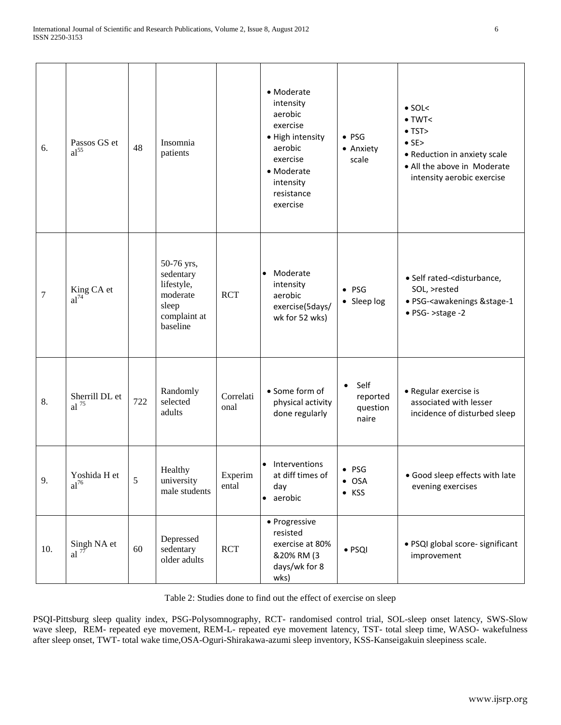| 6.     | Passos GS et<br>al <sup>55</sup>     | 48  | Insomnia<br>patients                                                                   |                   | • Moderate<br>intensity<br>aerobic<br>exercise<br>· High intensity<br>aerobic<br>exercise<br>• Moderate<br>intensity<br>resistance<br>exercise | $\bullet$ PSG<br>• Anxiety<br>scale                | $\bullet$ SOL<<br>$\bullet$ TWT<<br>$\bullet$ TST><br>$\bullet$ SE><br>• Reduction in anxiety scale<br>• All the above in Moderate<br>intensity aerobic exercise |
|--------|--------------------------------------|-----|----------------------------------------------------------------------------------------|-------------------|------------------------------------------------------------------------------------------------------------------------------------------------|----------------------------------------------------|------------------------------------------------------------------------------------------------------------------------------------------------------------------|
| $\tau$ | King CA et<br>$al^{74}$              |     | 50-76 yrs,<br>sedentary<br>lifestyle,<br>moderate<br>sleep<br>complaint at<br>baseline | <b>RCT</b>        | Moderate<br>$\bullet$<br>intensity<br>aerobic<br>exercise(5days/<br>wk for 52 wks)                                                             | $\bullet$ PSG<br>• Sleep log                       | · Self rated- <disturbance,<br>SOL, &gt;rested<br/>· PSG-<awakenings &="" stage-1<br="">• PSG- &gt;stage -2</awakenings></disturbance,<br>                       |
| 8.     | Sherrill DL et<br>$al$ <sup>75</sup> | 722 | Randomly<br>selected<br>adults                                                         | Correlati<br>onal | • Some form of<br>physical activity<br>done regularly                                                                                          | Self<br>$\bullet$<br>reported<br>question<br>naire | • Regular exercise is<br>associated with lesser<br>incidence of disturbed sleep                                                                                  |
| 9.     | Yoshida H et<br>$al^{76}$            | 5   | Healthy<br>university<br>male students                                                 | Experim<br>ental  | Interventions<br>at diff times of<br>day<br>aerobic<br>$\bullet$                                                                               | $\bullet$ PSG<br>$\bullet$ OSA<br>$\bullet$ KSS    | • Good sleep effects with late<br>evening exercises                                                                                                              |
| 10.    | Singh NA et<br>al $7\overline{7}$    | 60  | Depressed<br>sedentary<br>older adults                                                 | <b>RCT</b>        | • Progressive<br>resisted<br>exercise at 80%<br>&20% RM (3<br>days/wk for 8<br>wks)                                                            | · PSQI                                             | · PSQI global score- significant<br>improvement                                                                                                                  |

Table 2: Studies done to find out the effect of exercise on sleep

PSQI-Pittsburg sleep quality index, PSG-Polysomnography, RCT- randomised control trial, SOL-sleep onset latency, SWS-Slow wave sleep, REM- repeated eye movement, REM-L- repeated eye movement latency, TST- total sleep time, WASO- wakefulness after sleep onset, TWT- total wake time,OSA-Oguri-Shirakawa-azumi sleep inventory, KSS-Kanseigakuin sleepiness scale.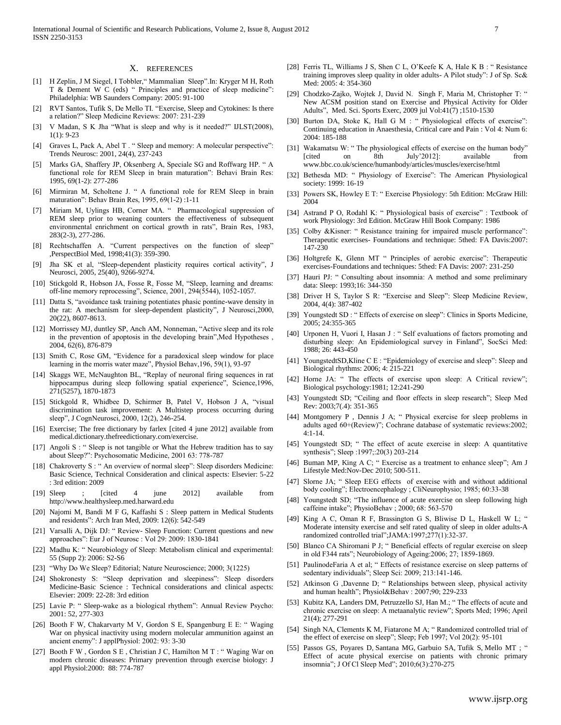#### X. REFERENCES

- [1] H Zeplin, J M Siegel, I Tobbler," Mammalian Sleep".In: Kryger M H, Roth T & Dement W C (eds) " Principles and practice of sleep medicine": Philadelphia: WB Saunders Company: 2005: 91-100
- [2] RVT Santos, Tufik S, De Mello TI. "Exercise, Sleep and Cytokines: Is there a relation?" Sleep Medicine Reviews: 2007: 231-239
- [3] V Madan, S K Jha "What is sleep and why is it needed?" IJLST(2008), 1(1): 9-23
- [4] Graves L, Pack A, Abel T . " Sleep and memory: A molecular perspective": Trends Neurosc: 2001, 24(4), 237-243
- [5] Marks GA, Shaffery JP, Oksenberg A, Speciale SG and Roffwarg HP. " A functional role for REM Sleep in brain maturation": Behavi Brain Res: 1995, 69(1-2): 277-286
- [6] Mirmiran M, Scholtene J. " A functional role for REM Sleep in brain maturation": Behav Brain Res, 1995, 69(1-2) :1-11
- [7] Miriam M, Uylings HB, Corner MA. " Pharmacological suppression of REM sleep prior to weaning counters the effectiveness of subsequent environmental enrichment on cortical growth in rats", Brain Res, 1983, 283(2-3), 277-286.
- [8] Rechtschaffen A. "Current perspectives on the function of sleep" ,PerspectBiol Med, 1998;41(3): 359-390.
- [9] Jha SK et al, "Sleep-dependent plasticity requires cortical activity", J Neurosci, 2005, 25(40), 9266-9274.
- [10] Stickgold R, Hobson JA, Fosse R, Fosse M, "Sleep, learning and dreams: off-line memory reprocessing", Science, 2001, 294(5544), 1052-1057.
- [11] Datta S, "avoidance task training potentiates phasic pontine-wave density in the rat: A mechanism for sleep-dependent plasticity", J Neurosci,2000, 20(22), 8607-8613.
- [12] Morrissey MJ, duntley SP, Anch AM, Nonneman, "Active sleep and its role in the prevention of apoptosis in the developing brain",Med Hypotheses , 2004, 62(6), 876-879
- [13] Smith C, Rose GM, "Evidence for a paradoxical sleep window for place learning in the morris water maze", Physiol Behav,196, 59(1), 93-97
- [14] Skaggs WE, McNaughton BL, "Replay of neuronal firing sequences in rat hippocampus during sleep following spatial experience", Science,1996, 271(5257), 1870-1873
- [15] Stickgold R, Whidbee D, Schirmer B, Patel V, Hobson J A, "visual discrimination task improvement: A Multistep process occurring during sleep", J CognNeurosci, 2000, 12(2), 246-254.
- [16] Exercise; The free dictionary by farlex [cited 4 june 2012] available from medical.dictionary.thefreedictionary.com/exercise.
- [17] Angoli S : " Sleep is not tangible or What the Hebrew tradition has to say about Sleep?": Psychosomatic Medicine, 2001 63: 778-787
- [18] Chakroverty S : " An overview of normal sleep": Sleep disorders Medicine: Basic Science, Technical Consideration and clinical aspects: Elsevier: 5-22 : 3rd edition: 2009
- [19] Sleep : [cited 4 june 2012] available from http://www.healthysleep.med.harward.edu
- [20] Najomi M, Bandi M F G, Kaffashi S : Sleep pattern in Medical Students and residents": Arch Iran Med, 2009: 12(6): 542-549
- [21] Varsalli A, Dijk DJ: " Review- Sleep Function: Current questions and new approaches": Eur J of Neurosc : Vol 29: 2009: 1830-1841
- [22] Madhu K: " Neurobiology of Sleep: Metabolism clinical and experimental: 55 (Supp 2): 2006: S2-S6
- [23] "Why Do We Sleep? Editorial; Nature Neuroscience; 2000; 3(1225)
- [24] Shokronesty S: "Sleep deprivation and sleepiness": Sleep disorders Medicine-Basic Science : Technical considerations and clinical aspects: Elsevier: 2009: 22-28: 3rd edition
- [25] Lavie P: " Sleep-wake as a biological rhythem": Annual Review Psycho: 2001: 52, 277-303
- [26] Booth F W, Chakarvarty M V, Gordon S E, Spangenburg E E: " Waging War on physical inactivity using modern molecular ammunition against an ancient enemy": J applPhysiol: 2002: 93: 3-30
- [27] Booth F W , Gordon S E , Christian J C, Hamilton M T : " Waging War on modern chronic diseases: Primary prevention through exercise biology: J appl Physiol:2000: 88: 774-787
- [28] Ferris TL, Williams J S, Shen C L, O'Keefe K A, Hale K B : "Resistance training improves sleep quality in older adults- A Pilot study": J of Sp. Sc& Med: 2005: 4: 354-360
- [29] Chodzko-Zajko, Wojtek J, David N. Singh F, Maria M, Christopher T: " New ACSM position stand on Exercise and Physical Activity for Older Adults", Med. Sci. Sports Exerc, 2009 jul Vol:41(7) ;1510-1530
- [30] Burton DA, Stoke K, Hall G M : " Physiological effects of exercise": Continuing education in Anaesthesia, Critical care and Pain : Vol 4: Num 6: 2004: 185-188
- [31] Wakamatsu W: "The physiological effects of exercise on the human body" [cited on 8th July'2012]: available from [cited on 8th July'2012]: available from www.bbc.co.uk/science/humanbody/articles/muscles/exercise/html
- [32] Bethesda MD: " Physiology of Exercise": The American Physiological society: 1999: 16-19
- [33] Powers SK, Howley E T: " Exercise Physiology: 5th Edition: McGraw Hill: 2004
- [34] Astrand P O, Rodahl K: " Physiological basis of exercise" : Textbook of work Physiology: 3rd Edition. McGraw Hill Book Company: 1986
- [35] Colby &Kisner: " Resistance training for impaired muscle performance": Therapeutic exercises- Foundations and technique: 5thed: FA Davis:2007: 147-230
- [36] Holtgrefe K, Glenn MT " Principles of aerobic exercise": Therapeutic exercises-Foundations and techniques: 5thed: FA Davis: 2007: 231-250
- [37] Hauri PJ: " Consulting about insomnia: A method and some preliminary data: Sleep: 1993;16: 344-350
- [38] Driver H S, Taylor S R: "Exercise and Sleep": Sleep Medicine Review, 2004, 4(4): 387-402
- [39] Youngstedt SD : " Effects of exercise on sleep": Clinics in Sports Medicine, 2005; 24:355-365
- [40] Urponen H, Vuori I, Hasan J : " Self evaluations of factors promoting and disturbing sleep: An Epidemiological survey in Finland", SocSci Med: 1988; 26: 443-450
- [41] YoungstedtSD, Kline C E : "Epidemiology of exercise and sleep": Sleep and Biological rhythms: 2006; 4: 215-221
- [42] Horne JA: " The effects of exercise upon sleep: A Critical review"; Biological psychology:1981; 12:241-290
- [43] Youngstedt SD; "Ceiling and floor effects in sleep research"; Sleep Med Rev: 2003;7(.4): 351-365
- [44] Montgomery P, Dennis J A; " Physical exercise for sleep problems in adults aged 60+(Review)"; Cochrane database of systematic reviews:2002; 4:1-14.
- [45] Youngstedt SD; " The effect of acute exercise in sleep: A quantitative synthesis"; Sleep :1997;:20(3) 203-214
- [46] Buman MP, King A C; " Exercise as a treatment to enhance sleep"; Am J Lifestyle Med:Nov-Dec 2010; 500-511.
- [47] Slorne JA; " Sleep EEG effects of exercise with and without additional body cooling"; Electroencephalogy ; CliNeurophysio; 1985; 60:33-38
- [48] Youngstedt SD; "The influence of acute exercise on sleep following high caffeine intake"; PhysioBehav ; 2000; 68: 563-570
- [49] King A C, Oman R F, Brassington G S, Bliwise D L, Haskell W L; " Moderate intensity exercise and self rated quality of sleep in older adults-A randomized controlled trial";JAMA:1997;277(1):32-37.
- [50] Blanco CA Shiromani P J; " Beneficial effects of regular exercise on sleep in old F344 rats"; Neurobiology of Ageing:2006; 27; 1859-1869.
- [51] PaulinodeFaria A et al; " Effects of resistance exercise on sleep patterns of sedentary individuals"; Sleep Sci: 2009; 213:141-146.
- [52] Atkinson G ,Davenne D; " Relationships between sleep, physical activity and human health"; Physiol&Behav : 2007;90; 229-233
- [53] Kubitz KA[, Landers DM,](http://www.ncbi.nlm.nih.gov/pubmed?term=Landers%20DM%5BAuthor%5D&cauthor=true&cauthor_uid=8726346) [Petruzzello SJ,](http://www.ncbi.nlm.nih.gov/pubmed?term=Petruzzello%20SJ%5BAuthor%5D&cauthor=true&cauthor_uid=8726346) [Han M.;](http://www.ncbi.nlm.nih.gov/pubmed?term=Han%20M%5BAuthor%5D&cauthor=true&cauthor_uid=8726346) "The effects of acute and chronic exercise on sleep: A metaanalytic review"; Sports Med; 1996; April 21(4); 277-291
- [54] Singh NA, Clements K M, Fiatarone M A; "Randomized controlled trial of the effect of exercise on sleep"; Sleep; Feb 1997; Vol 20(2): 95-101
- [55] Passos GS, [Poyares D,](http://www.ncbi.nlm.nih.gov/pubmed?term=Poyares%20D%5BAuthor%5D&cauthor=true&cauthor_uid=20572421) [Santana MG,](http://www.ncbi.nlm.nih.gov/pubmed?term=Santana%20MG%5BAuthor%5D&cauthor=true&cauthor_uid=20572421) [Garbuio SA,](http://www.ncbi.nlm.nih.gov/pubmed?term=Garbuio%20SA%5BAuthor%5D&cauthor=true&cauthor_uid=20572421) [Tufik S,](http://www.ncbi.nlm.nih.gov/pubmed?term=Tufik%20S%5BAuthor%5D&cauthor=true&cauthor_uid=20572421) [Mello MT](http://www.ncbi.nlm.nih.gov/pubmed?term=Mello%20MT%5BAuthor%5D&cauthor=true&cauthor_uid=20572421) ; " Effect of acute physical exercise on patients with chronic primary insomnia"; J Of Cl Sleep Med"; 2010;6(3):270-275